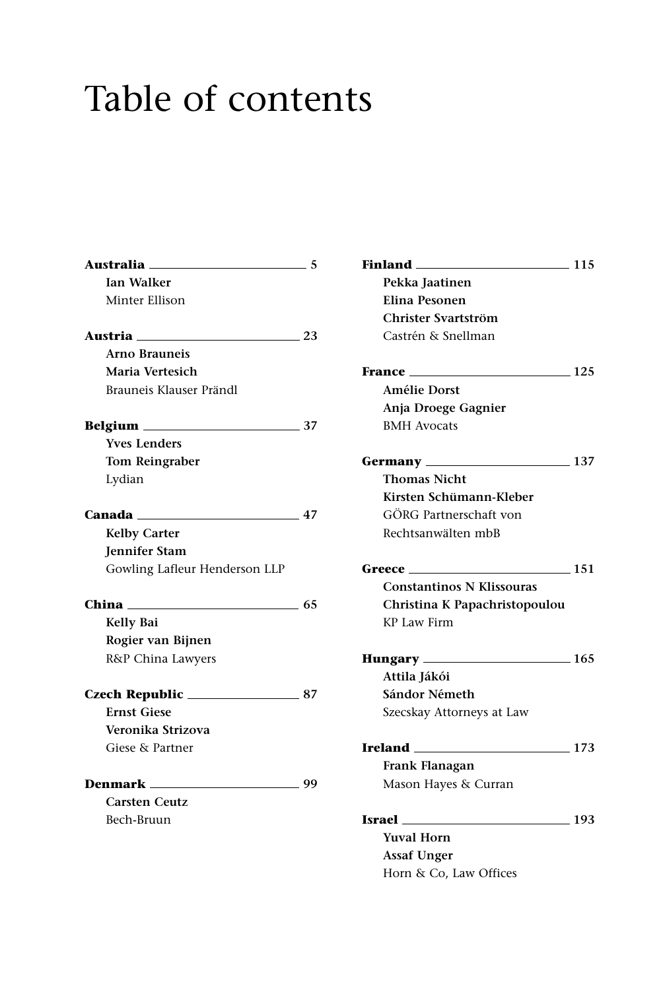## Table of contents

| Australia <sub>—</sub>        | 5   |
|-------------------------------|-----|
| <b>Ian Walker</b>             |     |
| Minter Ellison                |     |
| Austria                       | 23  |
| Arno Brauneis                 |     |
| Maria Vertesich               |     |
| Brauneis Klauser Prändl       |     |
|                               | 37  |
| <b>Yves Lenders</b>           |     |
| Tom Reingraber                |     |
| Lydian                        |     |
| Canada <sub>——</sub>          | 47  |
| <b>Kelby Carter</b>           |     |
| Jennifer Stam                 |     |
| Gowling Lafleur Henderson LLP |     |
| China                         | -65 |
| Kelly Bai                     |     |
| Rogier van Bijnen             |     |
| R&P China Lawyers             |     |
|                               | 87  |
| <b>Ernst Giese</b>            |     |
| Veronika Strizova             |     |
| Giese & Partner               |     |
|                               | 99  |
| <b>Carsten Ceutz</b>          |     |
| Bech-Bruun                    |     |

| <b>Finland</b><br>$\sim$ 115          |                 |
|---------------------------------------|-----------------|
| Pekka Jaatinen                        |                 |
| Elina Pesonen                         |                 |
| Christer Svartström                   |                 |
| Castrén & Snellman                    |                 |
| France                                | $\frac{125}{2}$ |
| <b>Amélie Dorst</b>                   |                 |
| Anja Droege Gagnier                   |                 |
| <b>BMH</b> Avocats                    |                 |
|                                       | 137             |
| <b>Thomas Nicht</b>                   |                 |
| Kirsten Schümann-Kleber               |                 |
| GÖRG Partnerschaft von                |                 |
| Rechtsanwälten mbB                    |                 |
| $\frac{151}{2}$<br>Greece             |                 |
| <b>Constantinos N Klissouras</b>      |                 |
| Christina K Papachristopoulou         |                 |
| <b>KP Law Firm</b>                    |                 |
| $\frac{165}{2}$<br>Hungary ______     |                 |
| Attila Jákói                          |                 |
| Sándor Németh                         |                 |
| Szecskay Attorneys at Law             |                 |
| <b>Ireland Exercise Exercise 1996</b> | 173             |
| Frank Flanagan                        |                 |
| Mason Hayes & Curran                  |                 |
| Israel<br>$\sim$ 193                  |                 |
| <b>Yuval Horn</b>                     |                 |
| <b>Assaf Unger</b>                    |                 |
| Horn & Co, Law Offices                |                 |